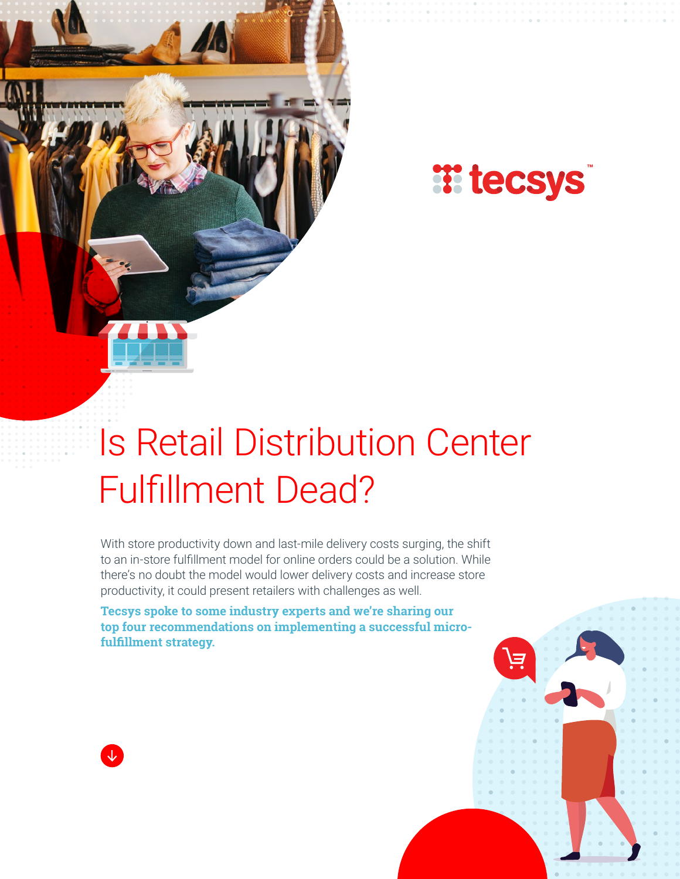



# Is Retail Distribution Center Fulfillment Dead?

With store productivity down and last-mile delivery costs surging, the shift to an in-store fulfillment model for online orders could be a solution. While there's no doubt the model would lower delivery costs and increase store productivity, it could present retailers with challenges as well.

**Tecsys spoke to some industry experts and we're sharing our top four recommendations on implementing a successful microfulfillment strategy.**

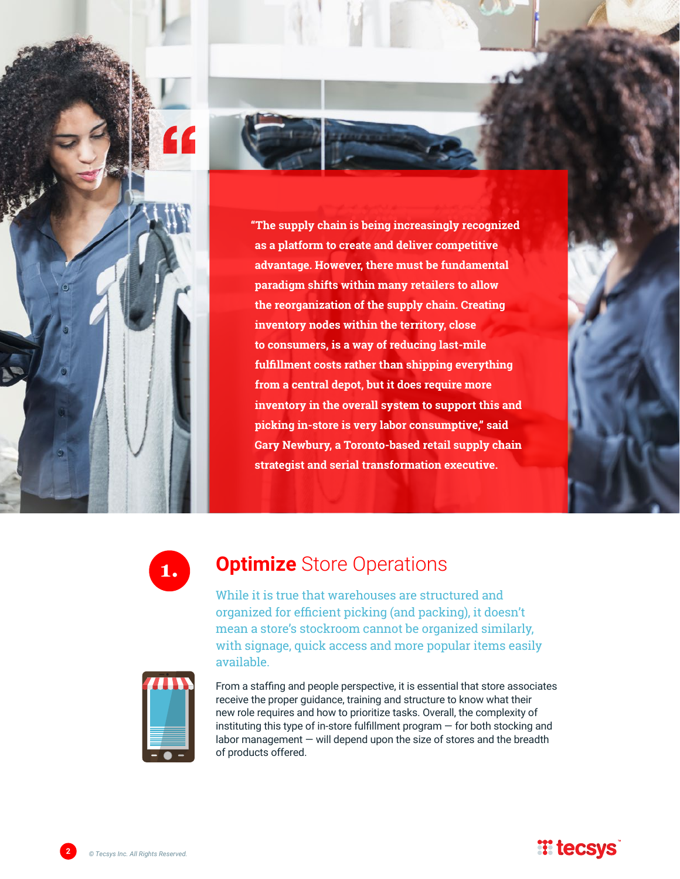



**fulfillment costs rather than shipping everything from a central depot, but it does require more inventory in the overall system to support this and picking in-store is very labor consumptive," said Gary Newbury, a Toronto-based retail supply chain strategist and serial transformation executive.**



# **1. Optimize** Store Operations

While it is true that warehouses are structured and organized for efficient picking (and packing), it doesn't mean a store's stockroom cannot be organized similarly, with signage, quick access and more popular items easily available.



From a staffing and people perspective, it is essential that store associates receive the proper guidance, training and structure to know what their new role requires and how to prioritize tasks. Overall, the complexity of instituting this type of in-store fulfillment program — for both stocking and labor management — will depend upon the size of stores and the breadth of products offered.

**2** *© Tecsys Inc. All Rights Reserved.*

#### **E** tecsys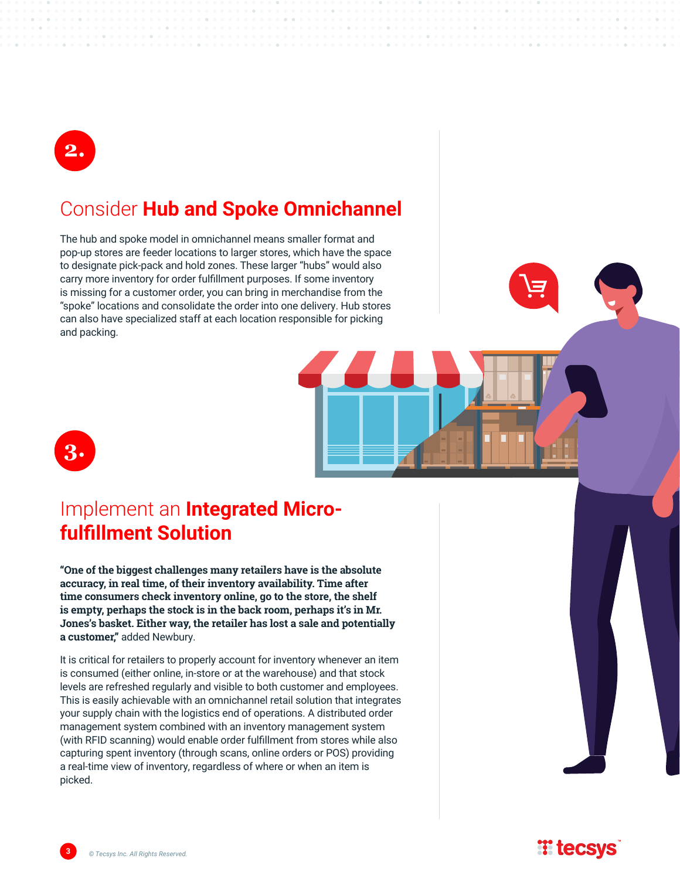

#### Consider **Hub and Spoke Omnichannel**

The hub and spoke model in omnichannel means smaller format and pop-up stores are feeder locations to larger stores, which have the space to designate pick-pack and hold zones. These larger "hubs" would also carry more inventory for order fulfillment purposes. If some inventory is missing for a customer order, you can bring in merchandise from the "spoke" locations and consolidate the order into one delivery. Hub stores can also have specialized staff at each location responsible for picking and packing.



### Implement an **Integrated Microfulfillment Solution**

**"One of the biggest challenges many retailers have is the absolute accuracy, in real time, of their inventory availability. Time after time consumers check inventory online, go to the store, the shelf is empty, perhaps the stock is in the back room, perhaps it's in Mr. Jones's basket. Either way, the retailer has lost a sale and potentially a customer,"** added Newbury.

It is critical for retailers to properly account for inventory whenever an item is consumed (either online, in-store or at the warehouse) and that stock levels are refreshed regularly and visible to both customer and employees. This is easily achievable with an omnichannel retail solution that integrates your supply chain with the logistics end of operations. A distributed order management system combined with an inventory management system (with RFID scanning) would enable order fulfillment from stores while also capturing spent inventory (through scans, online orders or POS) providing a real-time view of inventory, regardless of where or when an item is picked.